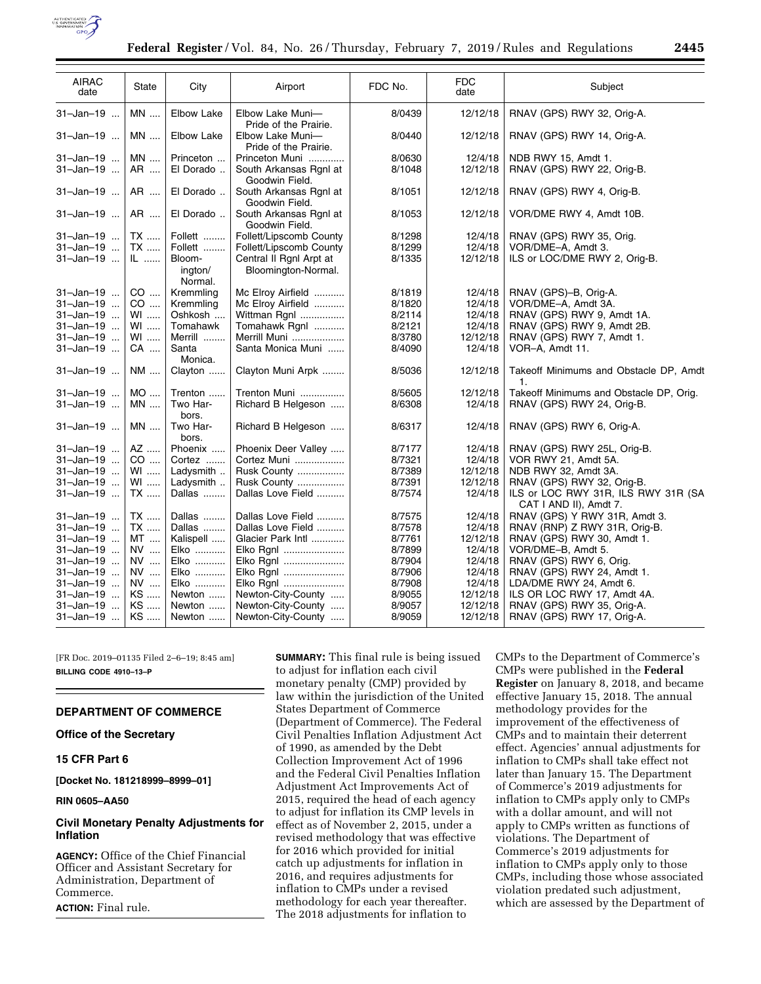

| <b>AIRAC</b><br>date | <b>State</b> | City                         | Airport                                        | FDC No. | <b>FDC</b><br>date | Subject                                                       |
|----------------------|--------------|------------------------------|------------------------------------------------|---------|--------------------|---------------------------------------------------------------|
| 31-Jan-19            | <b>MN</b>    | <b>Elbow Lake</b>            | Elbow Lake Muni-<br>Pride of the Prairie.      | 8/0439  | 12/12/18           | RNAV (GPS) RWY 32, Orig-A.                                    |
| 31-Jan-19            | <b>MN</b>    | <b>Elbow Lake</b>            | Elbow Lake Muni-<br>Pride of the Prairie.      | 8/0440  | 12/12/18           | RNAV (GPS) RWY 14, Orig-A.                                    |
| 31-Jan-19            | MN           | Princeton                    | Princeton Muni                                 | 8/0630  | 12/4/18            | NDB RWY 15, Amdt 1.                                           |
| 31-Jan-19            | AR           | El Dorado                    | South Arkansas Rgnl at<br>Goodwin Field.       | 8/1048  | 12/12/18           | RNAV (GPS) RWY 22, Orig-B.                                    |
| 31-Jan-19            | AR           | El Dorado                    | South Arkansas Rgnl at<br>Goodwin Field.       | 8/1051  | 12/12/18           | RNAV (GPS) RWY 4, Orig-B.                                     |
| 31-Jan-19            | AR           | El Dorado                    | South Arkansas Rgnl at<br>Goodwin Field.       | 8/1053  | 12/12/18           | VOR/DME RWY 4, Amdt 10B.                                      |
| 31-Jan-19            | TX           | Follett                      | Follett/Lipscomb County                        | 8/1298  | 12/4/18            | RNAV (GPS) RWY 35, Orig.                                      |
| 31-Jan-19            | TX           | Follett                      | Follett/Lipscomb County                        | 8/1299  | 12/4/18            | VOR/DME-A, Amdt 3.                                            |
| 31-Jan-19            | IL           | Bloom-<br>ington/<br>Normal. | Central II Rgnl Arpt at<br>Bloomington-Normal. | 8/1335  | 12/12/18           | ILS or LOC/DME RWY 2, Orig-B.                                 |
| 31-Jan-19            | CO           | Kremmling                    | Mc Elroy Airfield                              | 8/1819  | 12/4/18            | RNAV (GPS)-B, Orig-A.                                         |
| 31-Jan-19            | CO           | Kremmling                    | Mc Elroy Airfield                              | 8/1820  | 12/4/18            | VOR/DME-A, Amdt 3A.                                           |
| 31-Jan-19            | WI           | Oshkosh                      | Wittman Rgnl                                   | 8/2114  | 12/4/18            | RNAV (GPS) RWY 9, Amdt 1A.                                    |
| 31-Jan-19            | WI           | Tomahawk                     | Tomahawk Rgnl                                  | 8/2121  | 12/4/18            | RNAV (GPS) RWY 9, Amdt 2B.                                    |
| 31-Jan-19            | WI           | Merrill                      | Merrill Muni                                   | 8/3780  | 12/12/18           | RNAV (GPS) RWY 7, Amdt 1.                                     |
| 31-Jan-19            | CA           | Santa<br>Monica.             | Santa Monica Muni                              | 8/4090  | 12/4/18            | VOR-A, Amdt 11.                                               |
| 31-Jan-19            | NM           | Clayton                      | Clayton Muni Arpk                              | 8/5036  | 12/12/18           | Takeoff Minimums and Obstacle DP, Amdt<br>1.                  |
| 31-Jan-19            | MO           | Trenton                      | Trenton Muni                                   | 8/5605  | 12/12/18           | Takeoff Minimums and Obstacle DP, Orig.                       |
| 31-Jan-19            | MN           | Two Har-<br>bors.            | Richard B Helgeson                             | 8/6308  | 12/4/18            | RNAV (GPS) RWY 24, Orig-B.                                    |
| 31-Jan-19            | <b>MN</b>    | Two Har-<br>bors.            | Richard B Helgeson                             | 8/6317  | 12/4/18            | RNAV (GPS) RWY 6, Orig-A.                                     |
| 31-Jan-19            | AZ           | Phoenix                      | Phoenix Deer Valley                            | 8/7177  | 12/4/18            | RNAV (GPS) RWY 25L, Orig-B.                                   |
| 31-Jan-19            | $CO$         | Cortez                       | Cortez Muni                                    | 8/7321  | 12/4/18            | VOR RWY 21, Amdt 5A.                                          |
| 31-Jan-19            | WI           | Ladysmith                    | Rusk County                                    | 8/7389  | 12/12/18           | NDB RWY 32, Amdt 3A.                                          |
| 31-Jan-19            | WI           | Ladysmith                    | Rusk County                                    | 8/7391  | 12/12/18           | RNAV (GPS) RWY 32, Orig-B.                                    |
| 31-Jan-19            | TX           | Dallas                       | Dallas Love Field                              | 8/7574  | 12/4/18            | ILS or LOC RWY 31R, ILS RWY 31R (SA<br>CAT I AND II), Amdt 7. |
| 31-Jan-19            | TX           | Dallas                       | Dallas Love Field                              | 8/7575  | 12/4/18            | RNAV (GPS) Y RWY 31R, Amdt 3.                                 |
| 31-Jan-19            | TX           | Dallas                       | Dallas Love Field                              | 8/7578  | 12/4/18            | RNAV (RNP) Z RWY 31R, Orig-B.                                 |
| 31-Jan-19            | MT           | Kalispell                    | Glacier Park Intl                              | 8/7761  | 12/12/18           | RNAV (GPS) RWY 30, Amdt 1.                                    |
| 31-Jan-19            | NV           | Elko                         | Elko Rgnl                                      | 8/7899  | 12/4/18            | VOR/DME-B, Amdt 5.                                            |
| 31-Jan-19            | NV           | Elko                         | Elko Rgnl                                      | 8/7904  | 12/4/18            | RNAV (GPS) RWY 6, Orig.                                       |
| 31-Jan-19            | NV           | Elko                         | Elko Rgnl                                      | 8/7906  | 12/4/18            | RNAV (GPS) RWY 24, Amdt 1.                                    |
| 31-Jan-19            | NV           | Elko                         | Elko Rgnl                                      | 8/7908  | 12/4/18            | LDA/DME RWY 24, Amdt 6.                                       |
| 31-Jan-19            | KS           | Newton                       | Newton-City-County                             | 8/9055  | 12/12/18           | ILS OR LOC RWY 17, Amdt 4A.                                   |
| 31-Jan-19            | KS           | Newton                       | Newton-City-County                             | 8/9057  | 12/12/18           | RNAV (GPS) RWY 35, Orig-A.                                    |
| 31-Jan-19            | KS           | Newton                       | Newton-City-County                             | 8/9059  | 12/12/18           | RNAV (GPS) RWY 17, Orig-A.                                    |

[FR Doc. 2019–01135 Filed 2–6–19; 8:45 am] **BILLING CODE 4910–13–P** 

# **DEPARTMENT OF COMMERCE**

#### **Office of the Secretary**

**15 CFR Part 6** 

**[Docket No. 181218999–8999–01]** 

**RIN 0605–AA50** 

## **Civil Monetary Penalty Adjustments for Inflation**

**AGENCY:** Office of the Chief Financial Officer and Assistant Secretary for Administration, Department of Commerce. **ACTION:** Final rule.

**SUMMARY:** This final rule is being issued to adjust for inflation each civil monetary penalty (CMP) provided by law within the jurisdiction of the United States Department of Commerce (Department of Commerce). The Federal Civil Penalties Inflation Adjustment Act of 1990, as amended by the Debt Collection Improvement Act of 1996 and the Federal Civil Penalties Inflation Adjustment Act Improvements Act of 2015, required the head of each agency to adjust for inflation its CMP levels in effect as of November 2, 2015, under a revised methodology that was effective for 2016 which provided for initial catch up adjustments for inflation in 2016, and requires adjustments for inflation to CMPs under a revised methodology for each year thereafter. The 2018 adjustments for inflation to

CMPs to the Department of Commerce's CMPs were published in the **Federal Register** on January 8, 2018, and became effective January 15, 2018. The annual methodology provides for the improvement of the effectiveness of CMPs and to maintain their deterrent effect. Agencies' annual adjustments for inflation to CMPs shall take effect not later than January 15. The Department of Commerce's 2019 adjustments for inflation to CMPs apply only to CMPs with a dollar amount, and will not apply to CMPs written as functions of violations. The Department of Commerce's 2019 adjustments for inflation to CMPs apply only to those CMPs, including those whose associated violation predated such adjustment, which are assessed by the Department of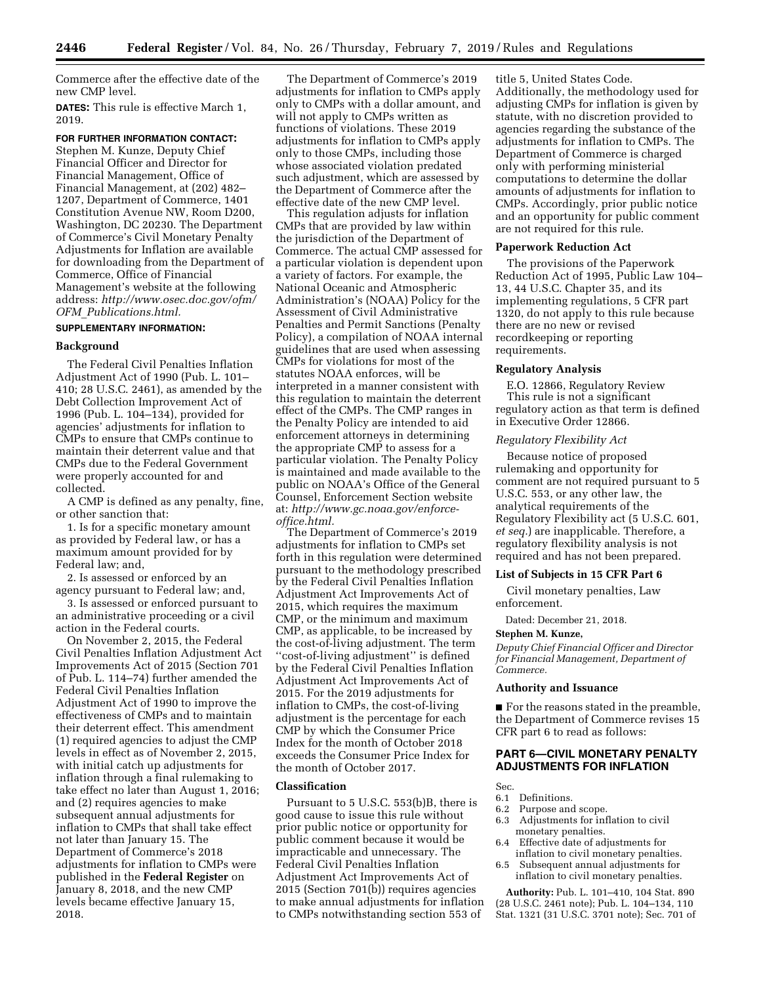Commerce after the effective date of the new CMP level.

**DATES:** This rule is effective March 1, 2019.

#### **FOR FURTHER INFORMATION CONTACT:**

Stephen M. Kunze, Deputy Chief Financial Officer and Director for Financial Management, Office of Financial Management, at (202) 482– 1207, Department of Commerce, 1401 Constitution Avenue NW, Room D200, Washington, DC 20230. The Department of Commerce's Civil Monetary Penalty Adjustments for Inflation are available for downloading from the Department of Commerce, Office of Financial Management's website at the following address: *[http://www.osec.doc.gov/ofm/](http://www.osec.doc.gov/ofm/OFM_Publications.html) OFM*\_*[Publications.html.](http://www.osec.doc.gov/ofm/OFM_Publications.html)* 

## **SUPPLEMENTARY INFORMATION:**

### **Background**

The Federal Civil Penalties Inflation Adjustment Act of 1990 (Pub. L. 101– 410; 28 U.S.C. 2461), as amended by the Debt Collection Improvement Act of 1996 (Pub. L. 104–134), provided for agencies' adjustments for inflation to CMPs to ensure that CMPs continue to maintain their deterrent value and that CMPs due to the Federal Government were properly accounted for and collected.

A CMP is defined as any penalty, fine, or other sanction that:

1. Is for a specific monetary amount as provided by Federal law, or has a maximum amount provided for by Federal law; and,

2. Is assessed or enforced by an agency pursuant to Federal law; and,

3. Is assessed or enforced pursuant to an administrative proceeding or a civil action in the Federal courts.

On November 2, 2015, the Federal Civil Penalties Inflation Adjustment Act Improvements Act of 2015 (Section 701 of Pub. L. 114–74) further amended the Federal Civil Penalties Inflation Adjustment Act of 1990 to improve the effectiveness of CMPs and to maintain their deterrent effect. This amendment (1) required agencies to adjust the CMP levels in effect as of November 2, 2015, with initial catch up adjustments for inflation through a final rulemaking to take effect no later than August 1, 2016; and (2) requires agencies to make subsequent annual adjustments for inflation to CMPs that shall take effect not later than January 15. The Department of Commerce's 2018 adjustments for inflation to CMPs were published in the **Federal Register** on January 8, 2018, and the new CMP levels became effective January 15, 2018.

The Department of Commerce's 2019 adjustments for inflation to CMPs apply only to CMPs with a dollar amount, and will not apply to CMPs written as functions of violations. These 2019 adjustments for inflation to CMPs apply only to those CMPs, including those whose associated violation predated such adjustment, which are assessed by the Department of Commerce after the effective date of the new CMP level.

This regulation adjusts for inflation CMPs that are provided by law within the jurisdiction of the Department of Commerce. The actual CMP assessed for a particular violation is dependent upon a variety of factors. For example, the National Oceanic and Atmospheric Administration's (NOAA) Policy for the Assessment of Civil Administrative Penalties and Permit Sanctions (Penalty Policy), a compilation of NOAA internal guidelines that are used when assessing CMPs for violations for most of the statutes NOAA enforces, will be interpreted in a manner consistent with this regulation to maintain the deterrent effect of the CMPs. The CMP ranges in the Penalty Policy are intended to aid enforcement attorneys in determining the appropriate CMP to assess for a particular violation. The Penalty Policy is maintained and made available to the public on NOAA's Office of the General Counsel, Enforcement Section website at: *[http://www.gc.noaa.gov/enforce](http://www.gc.noaa.gov/enforce-office.html)[office.html.](http://www.gc.noaa.gov/enforce-office.html)* 

The Department of Commerce's 2019 adjustments for inflation to CMPs set forth in this regulation were determined pursuant to the methodology prescribed by the Federal Civil Penalties Inflation Adjustment Act Improvements Act of 2015, which requires the maximum CMP, or the minimum and maximum CMP, as applicable, to be increased by the cost-of-living adjustment. The term ''cost-of-living adjustment'' is defined by the Federal Civil Penalties Inflation Adjustment Act Improvements Act of 2015. For the 2019 adjustments for inflation to CMPs, the cost-of-living adjustment is the percentage for each CMP by which the Consumer Price Index for the month of October 2018 exceeds the Consumer Price Index for the month of October 2017.

#### **Classification**

Pursuant to 5 U.S.C. 553(b)B, there is good cause to issue this rule without prior public notice or opportunity for public comment because it would be impracticable and unnecessary. The Federal Civil Penalties Inflation Adjustment Act Improvements Act of 2015 (Section 701(b)) requires agencies to make annual adjustments for inflation to CMPs notwithstanding section 553 of

title 5, United States Code. Additionally, the methodology used for adjusting CMPs for inflation is given by statute, with no discretion provided to agencies regarding the substance of the adjustments for inflation to CMPs. The Department of Commerce is charged only with performing ministerial computations to determine the dollar amounts of adjustments for inflation to CMPs. Accordingly, prior public notice and an opportunity for public comment are not required for this rule.

#### **Paperwork Reduction Act**

The provisions of the Paperwork Reduction Act of 1995, Public Law 104– 13, 44 U.S.C. Chapter 35, and its implementing regulations, 5 CFR part 1320, do not apply to this rule because there are no new or revised recordkeeping or reporting requirements.

#### **Regulatory Analysis**

E.O. 12866, Regulatory Review This rule is not a significant regulatory action as that term is defined in Executive Order 12866.

#### *Regulatory Flexibility Act*

Because notice of proposed rulemaking and opportunity for comment are not required pursuant to 5 U.S.C. 553, or any other law, the analytical requirements of the Regulatory Flexibility act (5 U.S.C. 601, *et seq.*) are inapplicable. Therefore, a regulatory flexibility analysis is not required and has not been prepared.

### **List of Subjects in 15 CFR Part 6**

Civil monetary penalties, Law enforcement.

Dated: December 21, 2018.

### **Stephen M. Kunze,**

*Deputy Chief Financial Officer and Director for Financial Management, Department of Commerce.* 

### **Authority and Issuance**

■ For the reasons stated in the preamble, the Department of Commerce revises 15 CFR part 6 to read as follows:

## **PART 6—CIVIL MONETARY PENALTY ADJUSTMENTS FOR INFLATION**

Sec.

- 6.1 Definitions.
- 6.2 Purpose and scope.
- 6.3 Adjustments for inflation to civil monetary penalties.
- 6.4 Effective date of adjustments for inflation to civil monetary penalties.
- 6.5 Subsequent annual adjustments for inflation to civil monetary penalties.

**Authority:** Pub. L. 101–410, 104 Stat. 890 (28 U.S.C. 2461 note); Pub. L. 104–134, 110 Stat. 1321 (31 U.S.C. 3701 note); Sec. 701 of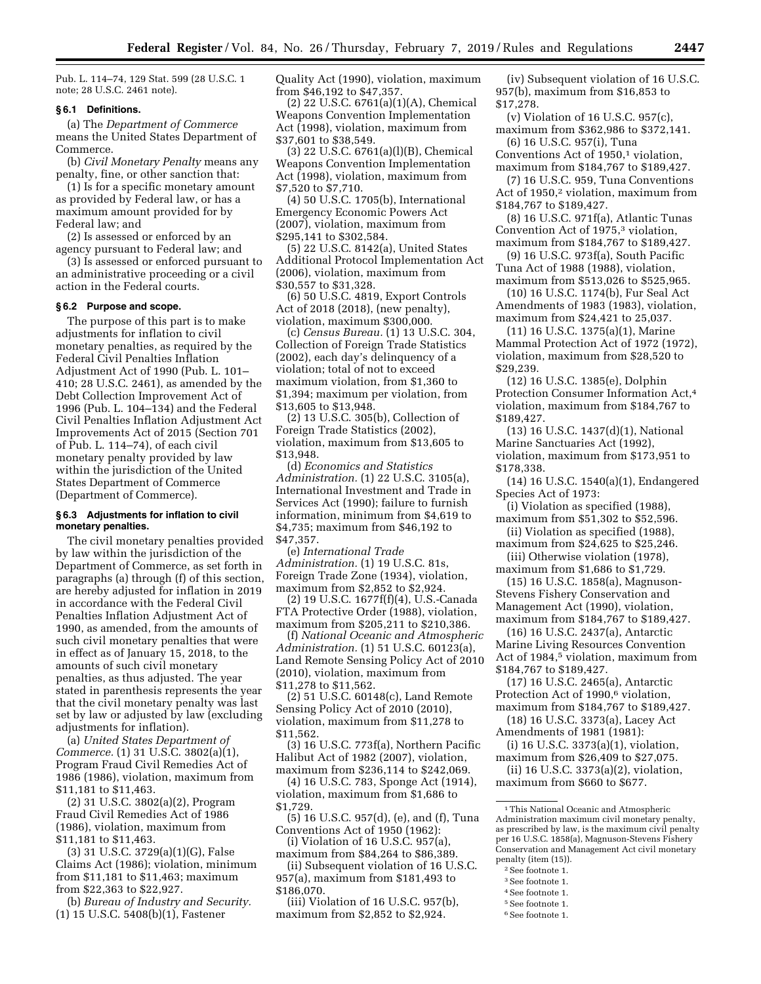Pub. L. 114–74, 129 Stat. 599 (28 U.S.C. 1 note; 28 U.S.C. 2461 note).

#### **§ 6.1 Definitions.**

(a) The *Department of Commerce*  means the United States Department of Commerce.

(b) *Civil Monetary Penalty* means any penalty, fine, or other sanction that:

(1) Is for a specific monetary amount as provided by Federal law, or has a maximum amount provided for by Federal law; and

(2) Is assessed or enforced by an agency pursuant to Federal law; and

(3) Is assessed or enforced pursuant to an administrative proceeding or a civil action in the Federal courts.

### **§ 6.2 Purpose and scope.**

The purpose of this part is to make adjustments for inflation to civil monetary penalties, as required by the Federal Civil Penalties Inflation Adjustment Act of 1990 (Pub. L. 101– 410; 28 U.S.C. 2461), as amended by the Debt Collection Improvement Act of 1996 (Pub. L. 104–134) and the Federal Civil Penalties Inflation Adjustment Act Improvements Act of 2015 (Section 701 of Pub. L. 114–74), of each civil monetary penalty provided by law within the jurisdiction of the United States Department of Commerce (Department of Commerce).

### **§ 6.3 Adjustments for inflation to civil monetary penalties.**

The civil monetary penalties provided by law within the jurisdiction of the Department of Commerce, as set forth in paragraphs (a) through (f) of this section, are hereby adjusted for inflation in 2019 in accordance with the Federal Civil Penalties Inflation Adjustment Act of 1990, as amended, from the amounts of such civil monetary penalties that were in effect as of January 15, 2018, to the amounts of such civil monetary penalties, as thus adjusted. The year stated in parenthesis represents the year that the civil monetary penalty was last set by law or adjusted by law (excluding adjustments for inflation).

(a) *United States Department of Commerce.* (1) 31 U.S.C. 3802(a)(1), Program Fraud Civil Remedies Act of 1986 (1986), violation, maximum from \$11,181 to \$11,463.

(2) 31 U.S.C. 3802(a)(2), Program Fraud Civil Remedies Act of 1986 (1986), violation, maximum from \$11,181 to \$11,463.

(3) 31 U.S.C. 3729(a)(1)(G), False Claims Act (1986); violation, minimum from \$11,181 to \$11,463; maximum from \$22,363 to \$22,927.

(b) *Bureau of Industry and Security.*  (1) 15 U.S.C. 5408(b)(1), Fastener

Quality Act (1990), violation, maximum from \$46,192 to \$47,357.

(2) 22 U.S.C. 6761(a)(1)(A), Chemical Weapons Convention Implementation Act (1998), violation, maximum from \$37,601 to \$38,549.

(3) 22 U.S.C. 6761(a)(l)(B), Chemical Weapons Convention Implementation Act (1998), violation, maximum from \$7,520 to \$7,710.

(4) 50 U.S.C. 1705(b), International Emergency Economic Powers Act (2007), violation, maximum from \$295,141 to \$302,584.

(5) 22 U.S.C. 8142(a), United States Additional Protocol Implementation Act (2006), violation, maximum from \$30,557 to \$31,328.

(6) 50 U.S.C. 4819, Export Controls Act of 2018 (2018), (new penalty), violation, maximum \$300,000.

(c) *Census Bureau.* (1) 13 U.S.C. 304, Collection of Foreign Trade Statistics (2002), each day's delinquency of a violation; total of not to exceed maximum violation, from \$1,360 to \$1,394; maximum per violation, from \$13,605 to \$13,948.

(2) 13 U.S.C. 305(b), Collection of Foreign Trade Statistics (2002), violation, maximum from \$13,605 to \$13,948.

(d) *Economics and Statistics Administration.* (1) 22 U.S.C. 3105(a), International Investment and Trade in Services Act (1990); failure to furnish information, minimum from \$4,619 to \$4,735; maximum from \$46,192 to \$47,357.

(e) *International Trade Administration.* (1) 19 U.S.C. 81s, Foreign Trade Zone (1934), violation, maximum from \$2,852 to \$2,924.

(2) 19 U.S.C. 1677f(f)(4), U.S.-Canada FTA Protective Order (1988), violation, maximum from \$205,211 to \$210,386.

(f) *National Oceanic and Atmospheric Administration.* (1) 51 U.S.C. 60123(a), Land Remote Sensing Policy Act of 2010 (2010), violation, maximum from \$11,278 to \$11,562.

(2) 51 U.S.C. 60148(c), Land Remote Sensing Policy Act of 2010 (2010), violation, maximum from \$11,278 to \$11,562.

(3) 16 U.S.C. 773f(a), Northern Pacific Halibut Act of 1982 (2007), violation, maximum from \$236,114 to \$242,069.

(4) 16 U.S.C. 783, Sponge Act (1914), violation, maximum from \$1,686 to \$1,729.

(5) 16 U.S.C. 957(d), (e), and (f), Tuna Conventions Act of 1950 (1962):

(i) Violation of 16 U.S.C. 957(a), maximum from \$84,264 to \$86,389.

(ii) Subsequent violation of 16 U.S.C. 957(a), maximum from \$181,493 to \$186,070.

(iii) Violation of 16 U.S.C. 957(b), maximum from \$2,852 to \$2,924.

(iv) Subsequent violation of 16 U.S.C. 957(b), maximum from \$16,853 to \$17,278.

(v) Violation of 16 U.S.C. 957(c), maximum from \$362,986 to \$372,141. (6) 16 U.S.C. 957(i), Tuna

Conventions Act of 1950.<sup>1</sup> violation. maximum from \$184,767 to \$189,427.

(7) 16 U.S.C. 959, Tuna Conventions Act of 1950,<sup>2</sup> violation, maximum from \$184,767 to \$189,427.

(8) 16 U.S.C. 971f(a), Atlantic Tunas Convention Act of 1975,<sup>3</sup> violation, maximum from \$184,767 to \$189,427.

(9) 16 U.S.C. 973f(a), South Pacific Tuna Act of 1988 (1988), violation, maximum from \$513,026 to \$525,965.

(10) 16 U.S.C. 1174(b), Fur Seal Act Amendments of 1983 (1983), violation, maximum from \$24,421 to 25,037.

(11) 16 U.S.C. 1375(a)(1), Marine Mammal Protection Act of 1972 (1972), violation, maximum from \$28,520 to \$29,239.

(12) 16 U.S.C. 1385(e), Dolphin Protection Consumer Information Act,4 violation, maximum from \$184,767 to \$189,427.

(13) 16 U.S.C. 1437(d)(1), National Marine Sanctuaries Act (1992), violation, maximum from \$173,951 to \$178,338.

(14) 16 U.S.C. 1540(a)(1), Endangered Species Act of 1973:

(i) Violation as specified (1988), maximum from \$51,302 to \$52,596.

(ii) Violation as specified (1988), maximum from \$24,625 to \$25,246.

(iii) Otherwise violation (1978), maximum from \$1,686 to \$1,729.

(15) 16 U.S.C. 1858(a), Magnuson-Stevens Fishery Conservation and Management Act (1990), violation, maximum from \$184,767 to \$189,427.

(16) 16 U.S.C. 2437(a), Antarctic Marine Living Resources Convention Act of 1984,5 violation, maximum from \$184,767 to \$189,427.

(17) 16 U.S.C. 2465(a), Antarctic Protection Act of 1990,<sup>6</sup> violation, maximum from \$184,767 to \$189,427.

(18) 16 U.S.C. 3373(a), Lacey Act Amendments of 1981 (1981):

(i) 16 U.S.C. 3373(a)(1), violation, maximum from \$26,409 to \$27,075.

(ii) 16 U.S.C. 3373(a)(2), violation, maximum from \$660 to \$677.

1This National Oceanic and Atmospheric Administration maximum civil monetary penalty, as prescribed by law, is the maximum civil penalty per 16 U.S.C. 1858(a), Magnuson-Stevens Fishery Conservation and Management Act civil monetary penalty (item (15)).

- 2See footnote 1.
- 3See footnote 1.
- 4See footnote 1.
- 5See footnote 1.
- 6See footnote 1.